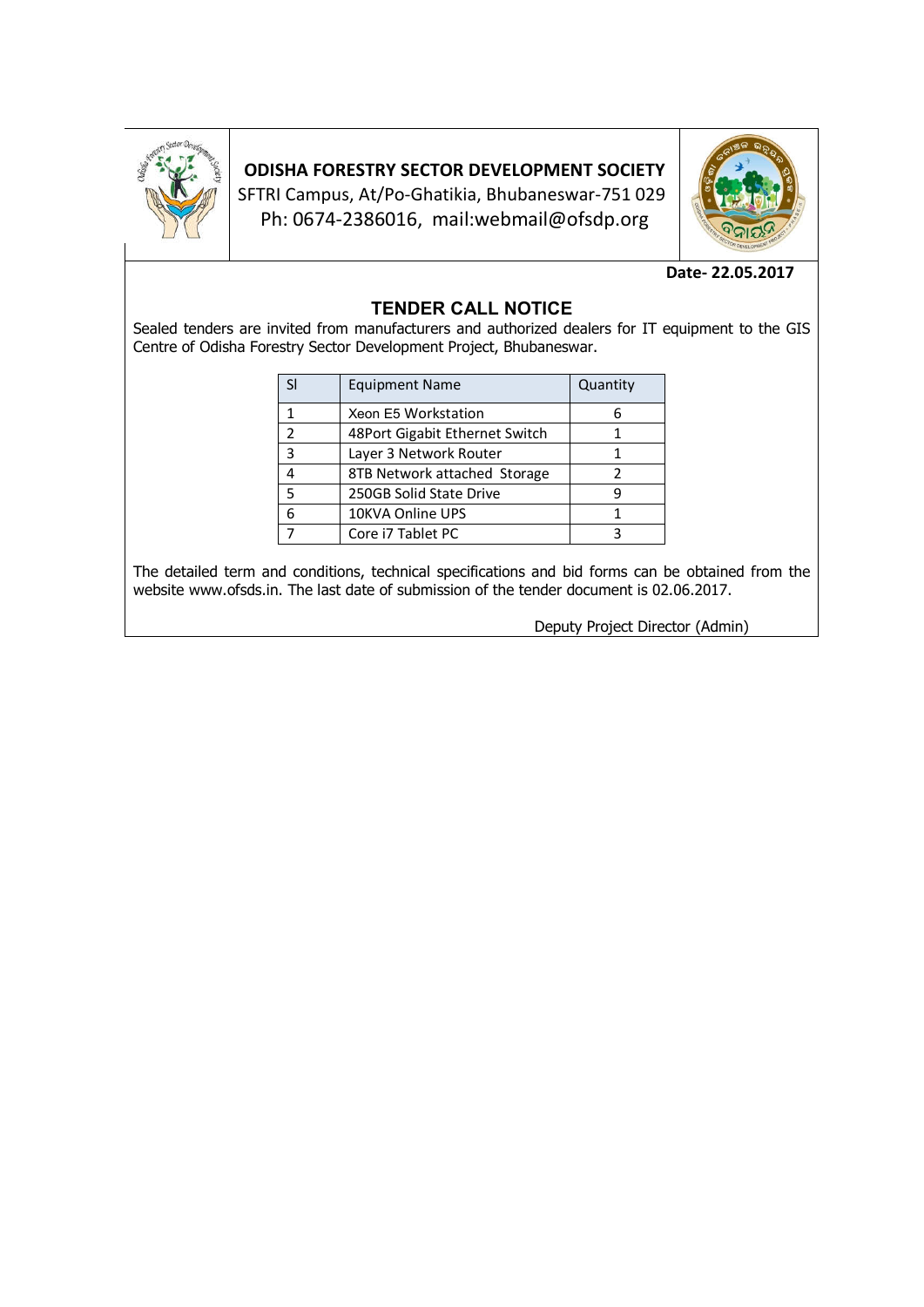

# **ODISHA FORESTRY SECTOR DEVELOPMENT SOCIETY**

SFTRI Campus, At/Po-Ghatikia, Bhubaneswar-751 029 Ph: 0674-2386016, mail:webmail@ofsdp.org



### **Date- 22.05.2017**

## **TENDER CALL NOTICE**

Sealed tenders are invited from manufacturers and authorized dealers for IT equipment to the GIS Centre of Odisha Forestry Sector Development Project, Bhubaneswar.

|   | <b>Equipment Name</b>          | Quantity |
|---|--------------------------------|----------|
|   | Xeon E5 Workstation            |          |
| 2 | 48Port Gigabit Ethernet Switch |          |
| 3 | Layer 3 Network Router         |          |
|   | 8TB Network attached Storage   |          |
| 5 | 250GB Solid State Drive        |          |
| 6 | 10KVA Online UPS               |          |
|   | Core i7 Tablet PC              |          |

The detailed term and conditions, technical specifications and bid forms can be obtained from the website www.ofsds.in. The last date of submission of the tender document is 02.06.2017.

Deputy Project Director (Admin)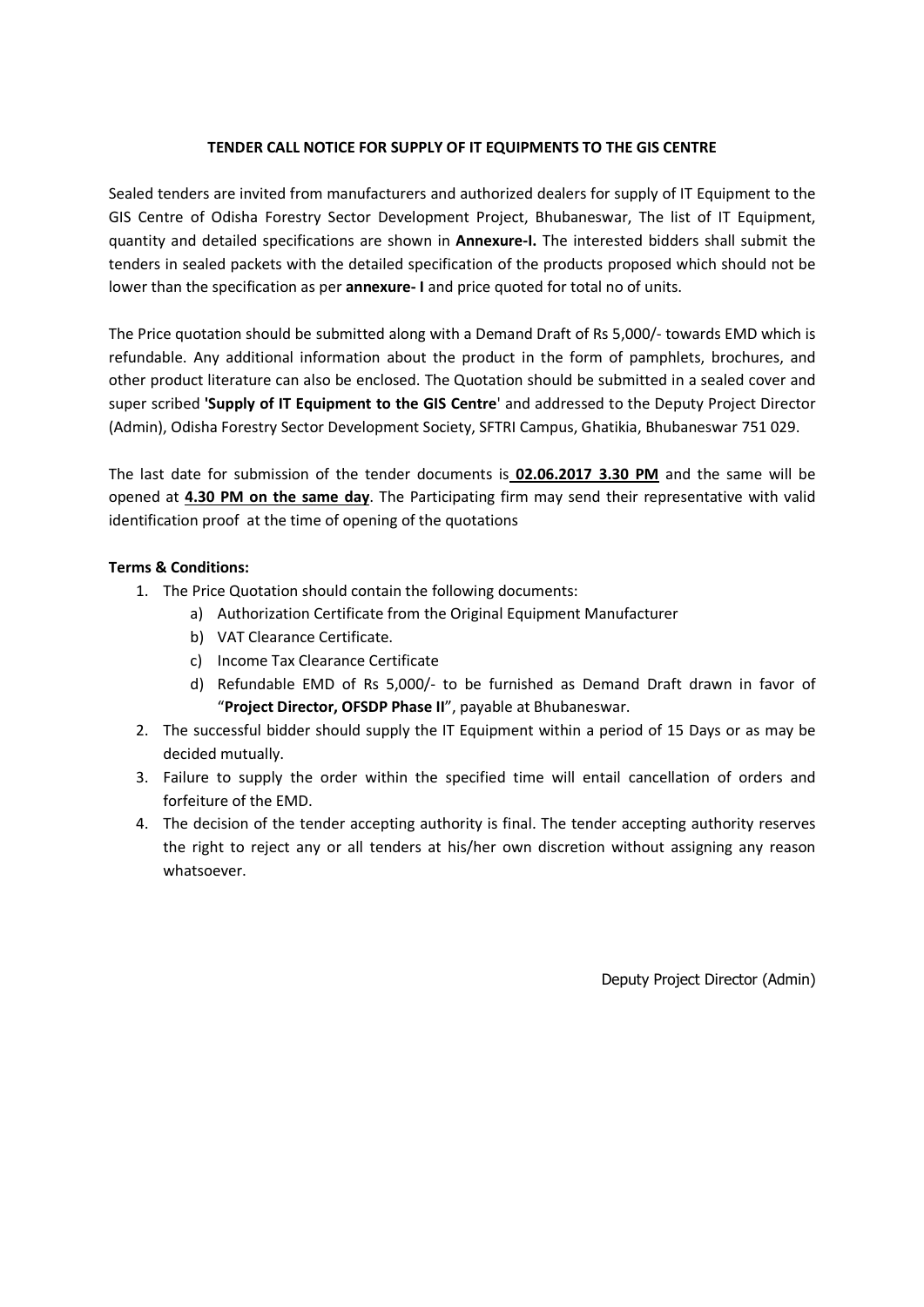#### **TENDER CALL NOTICE FOR SUPPLY OF IT EQUIPMENTS TO THE GIS CENTRE**

Sealed tenders are invited from manufacturers and authorized dealers for supply of IT Equipment to the GIS Centre of Odisha Forestry Sector Development Project, Bhubaneswar, The list of IT Equipment, quantity and detailed specifications are shown in **Annexure-I.** The interested bidders shall submit the tenders in sealed packets with the detailed specification of the products proposed which should not be lower than the specification as per **annexure- I** and price quoted for total no of units.

The Price quotation should be submitted along with a Demand Draft of Rs 5,000/- towards EMD which is refundable. Any additional information about the product in the form of pamphlets, brochures, and other product literature can also be enclosed. The Quotation should be submitted in a sealed cover and super scribed **'Supply of IT Equipment to the GIS Centre**' and addressed to the Deputy Project Director (Admin), Odisha Forestry Sector Development Society, SFTRI Campus, Ghatikia, Bhubaneswar 751 029.

The last date for submission of the tender documents is **02.06.2017 3.30 PM** and the same will be opened at **4.30 PM on the same day**. The Participating firm may send their representative with valid identification proof at the time of opening of the quotations

### **Terms & Conditions:**

- 1. The Price Quotation should contain the following documents:
	- a) Authorization Certificate from the Original Equipment Manufacturer
	- b) VAT Clearance Certificate.
	- c) Income Tax Clearance Certificate
	- d) Refundable EMD of Rs 5,000/- to be furnished as Demand Draft drawn in favor of "**Project Director, OFSDP Phase II**", payable at Bhubaneswar.
- 2. The successful bidder should supply the IT Equipment within a period of 15 Days or as may be decided mutually.
- 3. Failure to supply the order within the specified time will entail cancellation of orders and forfeiture of the EMD.
- 4. The decision of the tender accepting authority is final. The tender accepting authority reserves the right to reject any or all tenders at his/her own discretion without assigning any reason whatsoever.

Deputy Project Director (Admin)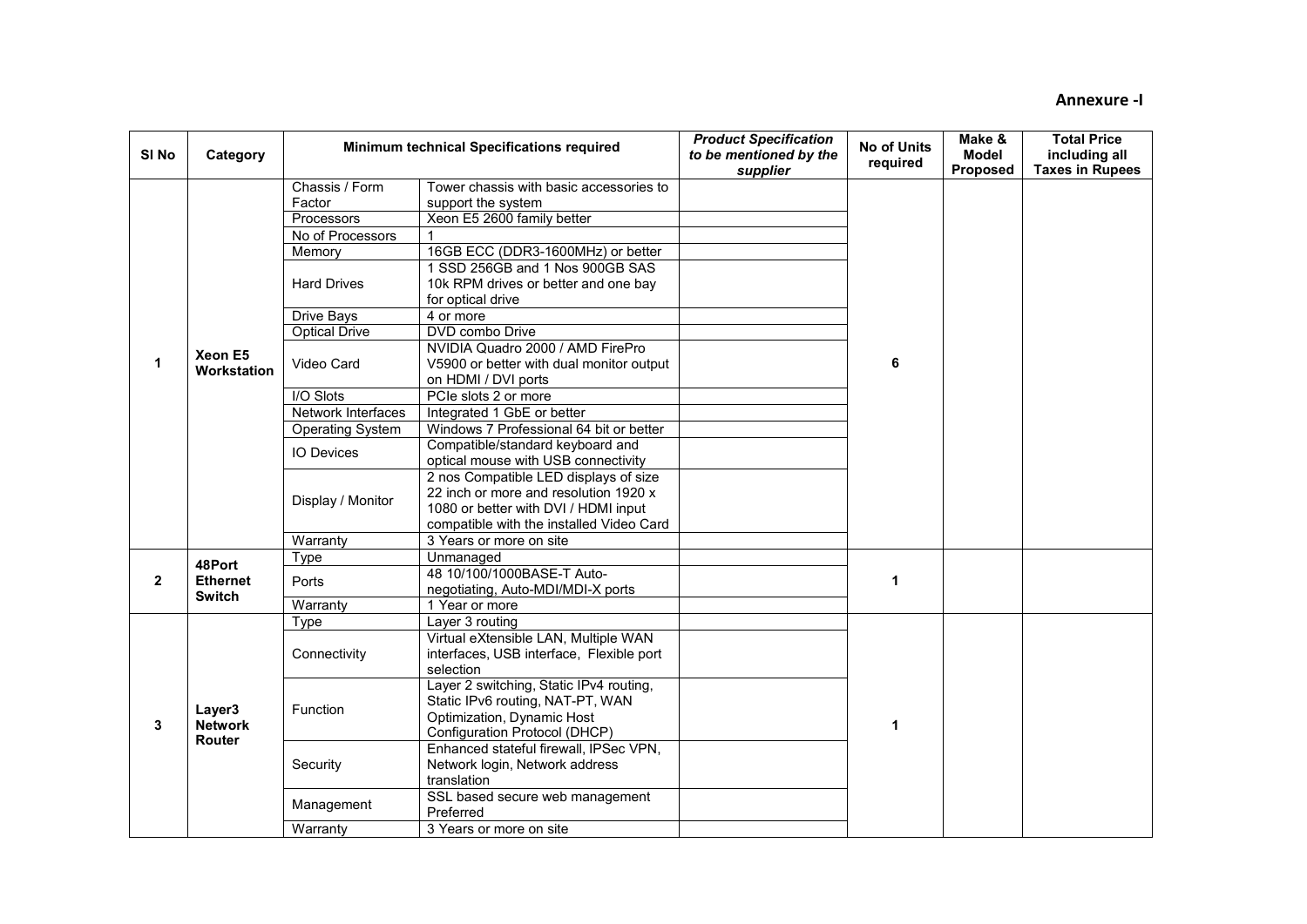| SI <sub>No</sub> | Category               |                         | Minimum technical Specifications required | <b>Product Specification</b><br>to be mentioned by the<br>supplier | <b>No of Units</b><br>required | Make &<br><b>Model</b><br><b>Proposed</b> | <b>Total Price</b><br>including all<br><b>Taxes in Rupees</b> |
|------------------|------------------------|-------------------------|-------------------------------------------|--------------------------------------------------------------------|--------------------------------|-------------------------------------------|---------------------------------------------------------------|
|                  |                        | Chassis / Form          | Tower chassis with basic accessories to   |                                                                    |                                |                                           |                                                               |
|                  |                        | Factor                  | support the system                        |                                                                    |                                |                                           |                                                               |
|                  |                        | Processors              | Xeon E5 2600 family better                |                                                                    |                                |                                           |                                                               |
|                  |                        | No of Processors        |                                           |                                                                    |                                |                                           |                                                               |
|                  |                        | Memory                  | 16GB ECC (DDR3-1600MHz) or better         |                                                                    |                                |                                           |                                                               |
|                  |                        |                         | 1 SSD 256GB and 1 Nos 900GB SAS           |                                                                    |                                |                                           |                                                               |
|                  |                        | <b>Hard Drives</b>      | 10k RPM drives or better and one bay      |                                                                    |                                |                                           |                                                               |
|                  |                        |                         | for optical drive                         |                                                                    |                                |                                           |                                                               |
|                  |                        | <b>Drive Bays</b>       | 4 or more                                 |                                                                    |                                |                                           |                                                               |
|                  |                        | <b>Optical Drive</b>    | DVD combo Drive                           |                                                                    |                                |                                           |                                                               |
|                  |                        |                         | NVIDIA Quadro 2000 / AMD FirePro          |                                                                    |                                |                                           |                                                               |
| $\mathbf{1}$     | Xeon E5<br>Workstation | Video Card              | V5900 or better with dual monitor output  |                                                                    | 6                              |                                           |                                                               |
|                  |                        |                         | on HDMI / DVI ports                       |                                                                    |                                |                                           |                                                               |
|                  |                        | I/O Slots               | PCIe slots 2 or more                      |                                                                    |                                |                                           |                                                               |
|                  |                        | Network Interfaces      | Integrated 1 GbE or better                |                                                                    |                                |                                           |                                                               |
|                  |                        | <b>Operating System</b> | Windows 7 Professional 64 bit or better   |                                                                    |                                |                                           |                                                               |
|                  |                        |                         | Compatible/standard keyboard and          |                                                                    |                                |                                           |                                                               |
|                  |                        | <b>IO Devices</b>       | optical mouse with USB connectivity       |                                                                    |                                |                                           |                                                               |
|                  |                        |                         | 2 nos Compatible LED displays of size     |                                                                    |                                |                                           |                                                               |
|                  |                        |                         | 22 inch or more and resolution 1920 x     |                                                                    |                                |                                           |                                                               |
|                  |                        | Display / Monitor       | 1080 or better with DVI / HDMI input      |                                                                    |                                |                                           |                                                               |
|                  |                        |                         | compatible with the installed Video Card  |                                                                    |                                |                                           |                                                               |
|                  |                        | Warranty                | 3 Years or more on site                   |                                                                    |                                |                                           |                                                               |
|                  |                        | Type                    | Unmanaged                                 |                                                                    |                                |                                           |                                                               |
|                  | 48Port                 |                         | 48 10/100/1000BASE-T Auto-                |                                                                    |                                |                                           |                                                               |
| $\overline{2}$   | <b>Ethernet</b>        | Ports                   | negotiating, Auto-MDI/MDI-X ports         |                                                                    | 1                              |                                           |                                                               |
|                  | <b>Switch</b>          | Warranty                | 1 Year or more                            |                                                                    |                                |                                           |                                                               |
|                  |                        | Type                    | Layer 3 routing                           |                                                                    |                                |                                           |                                                               |
|                  |                        |                         | Virtual eXtensible LAN, Multiple WAN      |                                                                    |                                |                                           |                                                               |
|                  |                        | Connectivity            | interfaces, USB interface, Flexible port  |                                                                    |                                |                                           |                                                               |
|                  |                        |                         | selection                                 |                                                                    |                                |                                           |                                                               |
|                  |                        |                         | Layer 2 switching, Static IPv4 routing,   |                                                                    |                                |                                           |                                                               |
|                  |                        |                         | Static IPv6 routing, NAT-PT, WAN          |                                                                    |                                |                                           |                                                               |
|                  | Layer3                 | Function                | Optimization, Dynamic Host                |                                                                    |                                |                                           |                                                               |
| $\mathbf{3}$     | <b>Network</b>         |                         | Configuration Protocol (DHCP)             |                                                                    | 1                              |                                           |                                                               |
|                  | Router                 |                         | Enhanced stateful firewall, IPSec VPN,    |                                                                    |                                |                                           |                                                               |
|                  |                        | Security                | Network login, Network address            |                                                                    |                                |                                           |                                                               |
|                  |                        |                         | translation                               |                                                                    |                                |                                           |                                                               |
|                  |                        |                         | SSL based secure web management           |                                                                    |                                |                                           |                                                               |
|                  |                        | Management              | Preferred                                 |                                                                    |                                |                                           |                                                               |
|                  |                        | Warranty                | 3 Years or more on site                   |                                                                    |                                |                                           |                                                               |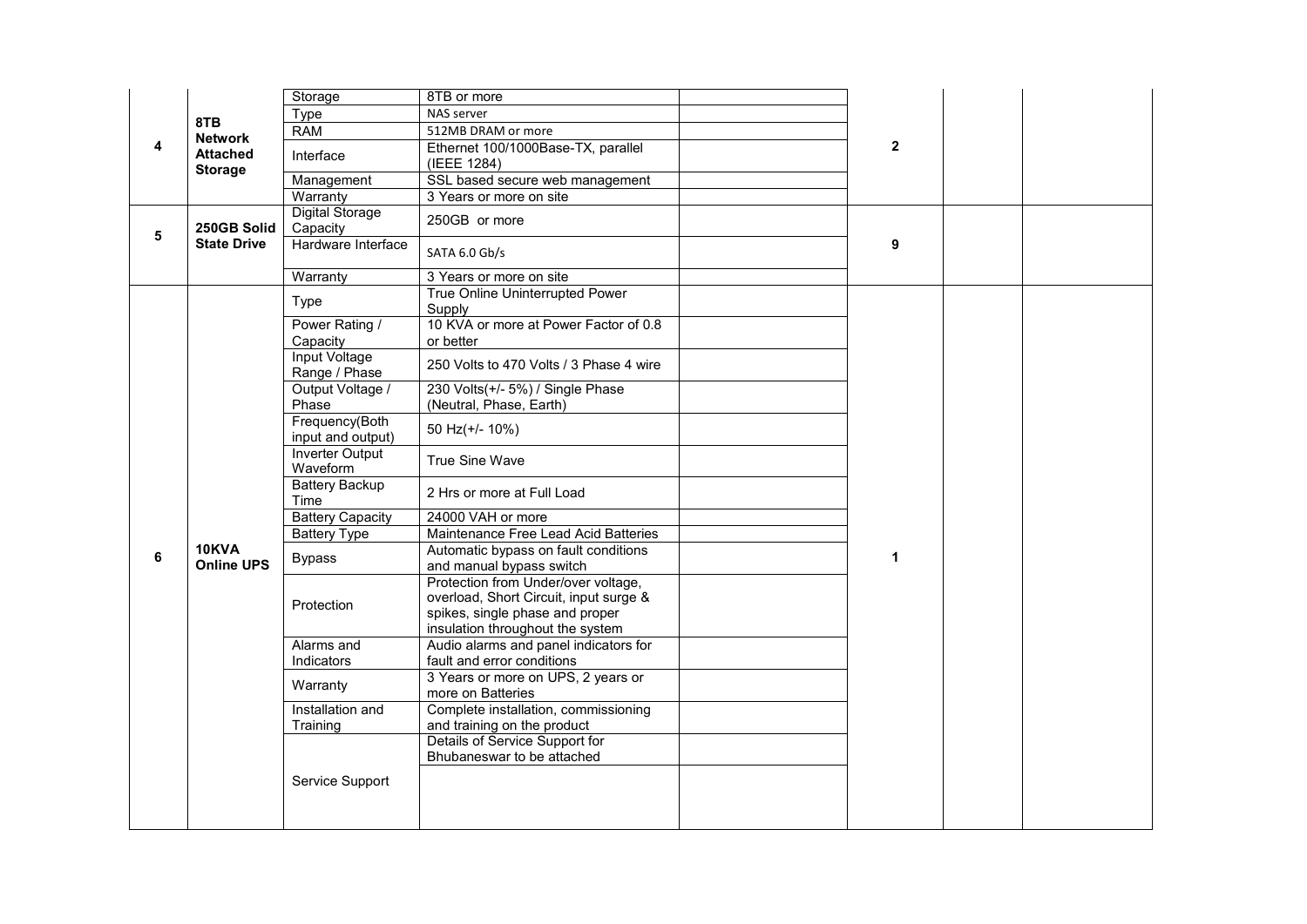| 8TB<br><b>Network</b><br>4<br><b>Attached</b><br><b>Storage</b> |                            | Storage                               | 8TB or more                                                                                                                                          |  |              |  |  |
|-----------------------------------------------------------------|----------------------------|---------------------------------------|------------------------------------------------------------------------------------------------------------------------------------------------------|--|--------------|--|--|
|                                                                 |                            | Type                                  | NAS server                                                                                                                                           |  |              |  |  |
|                                                                 |                            | <b>RAM</b>                            | 512MB DRAM or more                                                                                                                                   |  |              |  |  |
|                                                                 |                            | Interface                             | Ethernet 100/1000Base-TX, parallel<br>(IEEE 1284)                                                                                                    |  | $\mathbf{2}$ |  |  |
|                                                                 |                            | Management                            | SSL based secure web management                                                                                                                      |  |              |  |  |
|                                                                 |                            | Warranty                              | 3 Years or more on site                                                                                                                              |  |              |  |  |
| 5                                                               | 250GB Solid                | <b>Digital Storage</b><br>Capacity    | 250GB or more                                                                                                                                        |  |              |  |  |
|                                                                 | <b>State Drive</b>         | Hardware Interface                    | SATA 6.0 Gb/s                                                                                                                                        |  | 9            |  |  |
|                                                                 |                            | Warranty                              | 3 Years or more on site                                                                                                                              |  |              |  |  |
|                                                                 |                            | Type                                  | True Online Uninterrupted Power<br>Supply                                                                                                            |  |              |  |  |
|                                                                 | 10KVA<br><b>Online UPS</b> | Power Rating /<br>Capacity            | 10 KVA or more at Power Factor of 0.8<br>or better                                                                                                   |  | 1            |  |  |
|                                                                 |                            | <b>Input Voltage</b><br>Range / Phase | 250 Volts to 470 Volts / 3 Phase 4 wire                                                                                                              |  |              |  |  |
|                                                                 |                            | Output Voltage /<br>Phase             | 230 Volts(+/- 5%) / Single Phase<br>(Neutral, Phase, Earth)                                                                                          |  |              |  |  |
|                                                                 |                            | Frequency(Both<br>input and output)   | 50 Hz(+/- 10%)                                                                                                                                       |  |              |  |  |
|                                                                 |                            | <b>Inverter Output</b><br>Waveform    | True Sine Wave                                                                                                                                       |  |              |  |  |
|                                                                 |                            | Battery Backup<br>Time                | 2 Hrs or more at Full Load                                                                                                                           |  |              |  |  |
|                                                                 |                            | <b>Battery Capacity</b>               | 24000 VAH or more                                                                                                                                    |  |              |  |  |
|                                                                 |                            | <b>Battery Type</b>                   | Maintenance Free Lead Acid Batteries                                                                                                                 |  |              |  |  |
| 6                                                               |                            | <b>Bypass</b>                         | Automatic bypass on fault conditions<br>and manual bypass switch                                                                                     |  |              |  |  |
|                                                                 |                            | Protection                            | Protection from Under/over voltage,<br>overload, Short Circuit, input surge &<br>spikes, single phase and proper<br>insulation throughout the system |  |              |  |  |
|                                                                 |                            | Alarms and                            | Audio alarms and panel indicators for                                                                                                                |  |              |  |  |
|                                                                 |                            | Indicators                            | fault and error conditions                                                                                                                           |  |              |  |  |
|                                                                 |                            | Warranty                              | 3 Years or more on UPS, 2 years or<br>more on Batteries                                                                                              |  |              |  |  |
|                                                                 |                            | Installation and<br>Training          | Complete installation, commissioning<br>and training on the product                                                                                  |  |              |  |  |
|                                                                 |                            |                                       | Details of Service Support for<br>Bhubaneswar to be attached                                                                                         |  |              |  |  |
|                                                                 |                            | Service Support                       |                                                                                                                                                      |  |              |  |  |